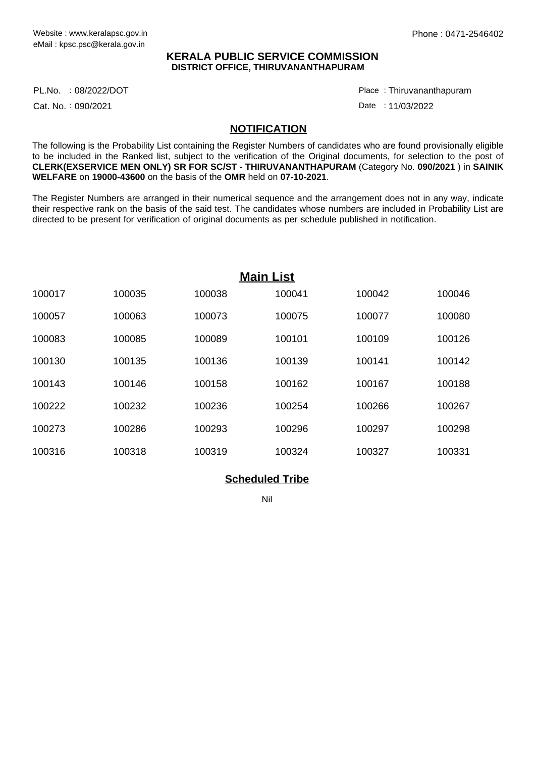## **KERALA PUBLIC SERVICE COMMISSION DISTRICT OFFICE, THIRUVANANTHAPURAM**

PL.No. :08/2022/DOT Place

Cat. No.: 090/2021

Thiruvananthapuram :

Date: 11/03/2022

## **NOTIFICATION**

The following is the Probability List containing the Register Numbers of candidates who are found provisionally eligible to be included in the Ranked list, subject to the verification of the Original documents, for selection to the post of **CLERK(EXSERVICE MEN ONLY) SR FOR SC/ST** - **THIRUVANANTHAPURAM** (Category No. **090/2021** ) in **SAINIK WELFARE** on **19000-43600** on the basis of the **OMR** held on **07-10-2021**.

The Register Numbers are arranged in their numerical sequence and the arrangement does not in any way, indicate their respective rank on the basis of the said test. The candidates whose numbers are included in Probability List are directed to be present for verification of original documents as per schedule published in notification.

| <b>Main List</b> |        |        |        |        |        |
|------------------|--------|--------|--------|--------|--------|
| 100017           | 100035 | 100038 | 100041 | 100042 | 100046 |
| 100057           | 100063 | 100073 | 100075 | 100077 | 100080 |
| 100083           | 100085 | 100089 | 100101 | 100109 | 100126 |
| 100130           | 100135 | 100136 | 100139 | 100141 | 100142 |
| 100143           | 100146 | 100158 | 100162 | 100167 | 100188 |
| 100222           | 100232 | 100236 | 100254 | 100266 | 100267 |
| 100273           | 100286 | 100293 | 100296 | 100297 | 100298 |
| 100316           | 100318 | 100319 | 100324 | 100327 | 100331 |

## **Scheduled Tribe**

Nil